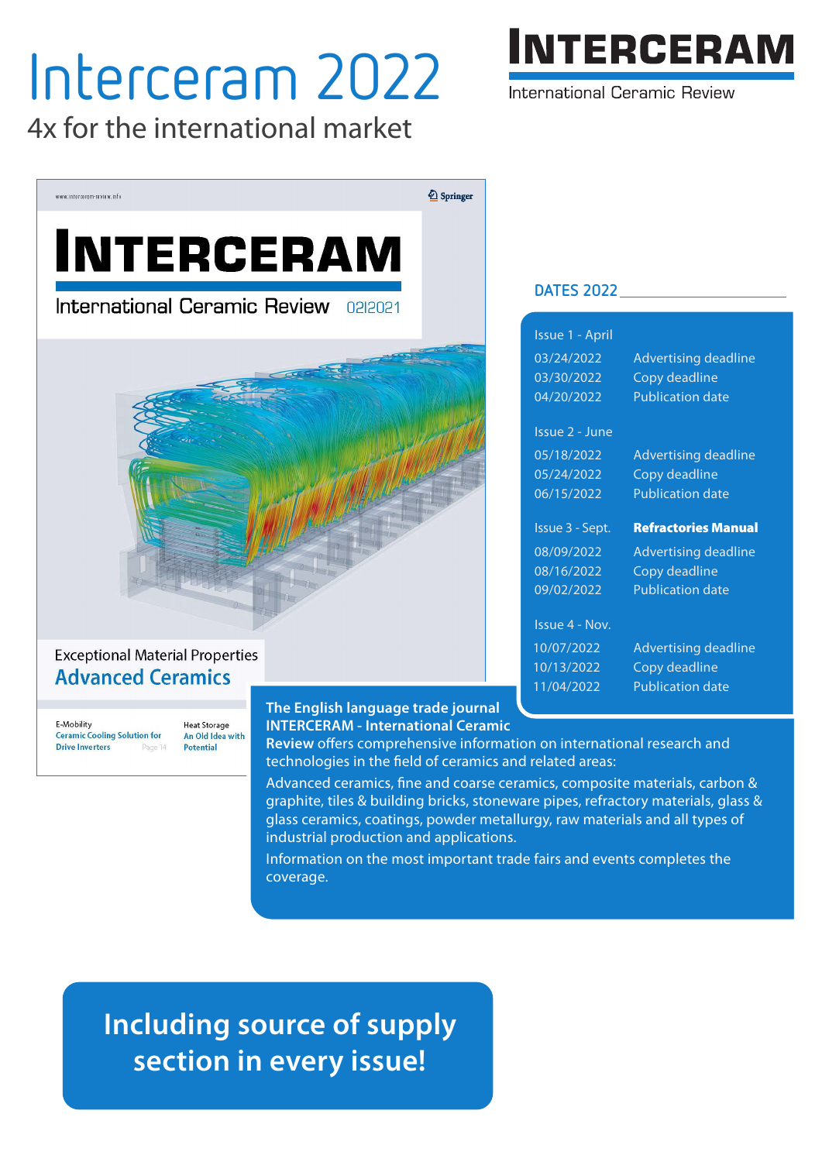# Interceram 2022

4x for the international market



International Ceramic Review



# **Exceptional Material Properties Advanced Ceramics**

E-Mobility **Ceramic Cooling Solution for Drive Inverters** Page 14 **Heat Storage** An Old Idea with Potential

### **The English language trade journal INTERCERAM - International Ceramic**

**Review** offers comprehensive information on international research and technologies in the field of ceramics and related areas:

Advanced ceramics, fine and coarse ceramics, composite materials, carbon & graphite, tiles & building bricks, stoneware pipes, refractory materials, glass & glass ceramics, coatings, powder metallurgy, raw materials and all types of industrial production and applications.

Information on the most important trade fairs and events completes the coverage.

# **Including source of supply section in every issue!**

| <b>DATES 2022</b>     |                             |
|-----------------------|-----------------------------|
| Issue 1 - April       |                             |
| 03/24/2022            | <b>Advertising deadline</b> |
| 03/30/2022            | Copy deadline               |
| 04/20/2022            | <b>Publication date</b>     |
| Issue 2 - June        |                             |
| 05/18/2022            | <b>Advertising deadline</b> |
| 05/24/2022            | Copy deadline               |
| 06/15/2022            | <b>Publication date</b>     |
| Issue 3 - Sept.       | <b>Refractories Manual</b>  |
| 08/09/2022            | <b>Advertising deadline</b> |
| 08/16/2022            | Copy deadline               |
| 09/02/2022            | <b>Publication date</b>     |
| <b>Issue 4 - Nov.</b> |                             |
| 10/07/2022            | <b>Advertising deadline</b> |
| 10/13/2022            | Copy deadline               |
| 11/04/2022            | <b>Publication date</b>     |
|                       |                             |